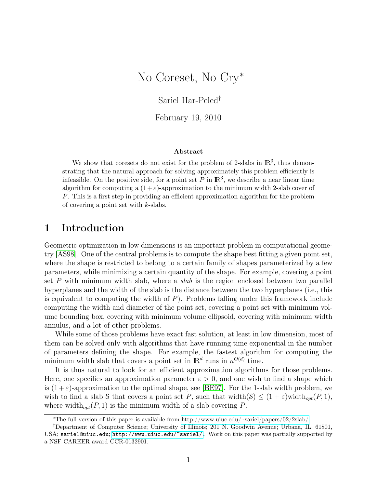# No Coreset, No Cry<sup>∗</sup>

Sariel Har-Peled†

February 19, 2010

#### Abstract

We show that coresets do not exist for the problem of 2-slabs in  $\mathbb{R}^3$ , thus demonstrating that the natural approach for solving approximately this problem efficiently is infeasible. On the positive side, for a point set P in  $\mathbb{R}^3$ , we describe a near linear time algorithm for computing a  $(1+\varepsilon)$ -approximation to the minimum width 2-slab cover of P. This is a first step in providing an efficient approximation algorithm for the problem of covering a point set with  $k$ -slabs.

## 1 Introduction

Geometric optimization in low dimensions is an important problem in computational geometry [\[AS98\]](#page-12-0). One of the central problems is to compute the shape best fitting a given point set, where the shape is restricted to belong to a certain family of shapes parameterized by a few parameters, while minimizing a certain quantity of the shape. For example, covering a point set P with minimum width slab, where a *slab* is the region enclosed between two parallel hyperplanes and the width of the slab is the distance between the two hyperplanes (i.e., this is equivalent to computing the width of  $P$ ). Problems falling under this framework include computing the width and diameter of the point set, covering a point set with minimum volume bounding box, covering with minimum volume ellipsoid, covering with minimum width annulus, and a lot of other problems.

While some of those problems have exact fast solution, at least in low dimension, most of them can be solved only with algorithms that have running time exponential in the number of parameters defining the shape. For example, the fastest algorithm for computing the minimum width slab that covers a point set in  $\mathbb{R}^d$  runs in  $n^{O(d)}$  time.

It is thus natural to look for an efficient approximation algorithms for those problems. Here, one specifies an approximation parameter  $\varepsilon > 0$ , and one wish to find a shape which is  $(1+\varepsilon)$ -approximation to the optimal shape, see [\[BE97\]](#page-12-1). For the 1-slab width problem, we wish to find a slab S that covers a point set P, such that width(S)  $\leq (1+\varepsilon)$ width $_{opt}(P, 1)$ , where width<sub>opt</sub> $(P, 1)$  is the minimum width of a slab covering P.

<sup>∗</sup>The full version of this paper is available from [http://www.uiuc.edu/~sariel/papers/02/2slab/.](http://www.uiuc.edu/\protect \unhbox \voidb@x \penalty \@M \ {}sariel/papers/02/2slab/)

<sup>†</sup>Department of Computer Science; University of Illinois; 201 N. Goodwin Avenue; Urbana, IL, 61801, USA; sariel@uiuc.edu; [http://www.uiuc.edu/~sariel/.](http://www.uiuc.edu/~sariel/) Work on this paper was partially supported by a NSF CAREER award CCR-0132901.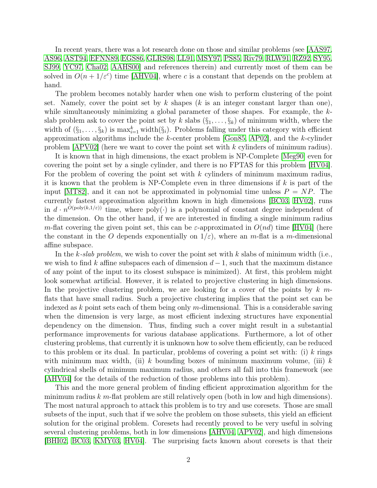In recent years, there was a lot research done on those and similar problems (see [\[AAS97,](#page-11-0) [AS96,](#page-12-2) [AST94,](#page-12-3) [EFNN89,](#page-12-4) [EGS86,](#page-12-5) [GLRS98,](#page-12-6) [LL91,](#page-13-0) [MSY97,](#page-13-1) [PS85,](#page-13-2) [Riv79,](#page-13-3) [RLW91,](#page-13-4) [RZ92,](#page-13-5) [SY95,](#page-13-6) [SJ99,](#page-13-7) [YC97,](#page-13-8) [Cha02,](#page-12-7) [AAHS00\]](#page-11-1) and references therein) and currently most of them can be solved in  $O(n + 1/\varepsilon^c)$  time [\[AHV04\]](#page-12-8), where c is a constant that depends on the problem at hand.

The problem becomes notably harder when one wish to perform clustering of the point set. Namely, cover the point set by k shapes  $(k$  is an integer constant larger than one), while simultaneously minimizing a global parameter of those shapes. For example, the kslab problem ask to cover the point set by k slabs  $(\S_1, \ldots, \S_k)$  of minimum width, where the width of  $(\S_1, \ldots, \S_k)$  is  $\max_{i=1}^k$  width $(\S_i)$ . Problems falling under this category with efficient approximation algorithms include the  $k$ -center problem [\[Gon85,](#page-12-9) [AP02\]](#page-12-10), and the  $k$ -cylinder problem  $[APV02]$  (here we want to cover the point set with k cylinders of minimum radius).

It is known that in high dimensions, the exact problem is NP-Complete [\[Meg90\]](#page-13-9) even for covering the point set by a single cylinder, and there is no FPTAS for this problem [\[HV04\]](#page-13-10). For the problem of covering the point set with  $k$  cylinders of minimum maximum radius, it is known that the problem is NP-Complete even in three dimensions if  $k$  is part of the input  $[MT82]$ , and it can not be approximated in polynomial time unless  $P = NP$ . The currently fastest approximation algorithm known in high dimensions [\[BC03,](#page-12-12) [HV02\]](#page-13-12), runs in  $d \cdot n^{O(\text{poly}(k,1/\varepsilon))}$  time, where poly( $\cdot$ ) is a polynomial of constant degree independent of the dimension. On the other hand, if we are interested in finding a single minimum radius m-flat covering the given point set, this can be  $\varepsilon$ -approximated in  $O(nd)$  time [\[HV04\]](#page-13-10) (here the constant in the O depends exponentially on  $1/\varepsilon$ , where an m-flat is a m-dimensional affine subspace.

In the k-slab problem, we wish to cover the point set with k slabs of minimum width (i.e., we wish to find k affine subspaces each of dimension  $d-1$ , such that the maximum distance of any point of the input to its closest subspace is minimized). At first, this problem might look somewhat artificial. However, it is related to projective clustering in high dimensions. In the projective clustering problem, we are looking for a cover of the points by  $k$  mflats that have small radius. Such a projective clustering implies that the point set can be indexed as  $k$  point sets each of them being only m-dimensional. This is a considerable saving when the dimension is very large, as most efficient indexing structures have exponential dependency on the dimension. Thus, finding such a cover might result in a substantial performance improvements for various database applications. Furthermore, a lot of other clustering problems, that currently it is unknown how to solve them efficiently, can be reduced to this problem or its dual. In particular, problems of covering a point set with: (i) k rings with minimum max width, (ii) k bounding boxes of minimum maximum volume, (iii) k cylindrical shells of minimum maximum radius, and others all fall into this framework (see [\[AHV04\]](#page-12-8) for the details of the reduction of those problems into this problem).

This and the more general problem of finding efficient approximation algorithm for the minimum radius  $k \, m$ -flat problem are still relatively open (both in low and high dimensions). The most natural approach to attack this problem is to try and use coresets. Those are small subsets of the input, such that if we solve the problem on those subsets, this yield an efficient solution for the original problem. Coresets had recently proved to be very useful in solving several clustering problems, both in low dimensions [\[AHV04,](#page-12-8) [APV02\]](#page-12-11), and high dimensions [\[BHI02,](#page-12-13) [BC03,](#page-12-12) [KMY03,](#page-13-13) [HV04\]](#page-13-10). The surprising facts known about coresets is that their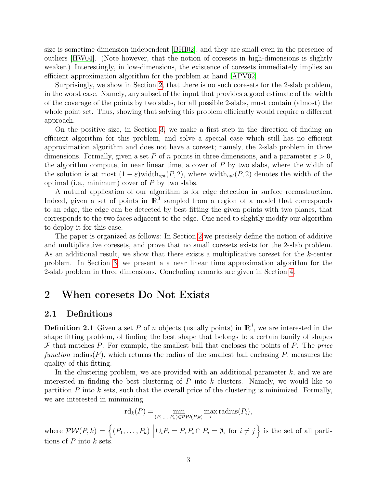size is sometime dimension independent [\[BHI02\]](#page-12-13), and they are small even in the presence of outliers [\[HW04\]](#page-13-14). (Note however, that the notion of coresets in high-dimensions is slightly weaker.) Interestingly, in low-dimensions, the existence of coresets immediately implies an efficient approximation algorithm for the problem at hand [\[APV02\]](#page-12-11).

Surprisingly, we show in Section [2,](#page-2-0) that there is no such coresets for the 2-slab problem, in the worst case. Namely, any subset of the input that provides a good estimate of the width of the coverage of the points by two slabs, for all possible 2-slabs, must contain (almost) the whole point set. Thus, showing that solving this problem efficiently would require a different approach.

On the positive size, in Section [3,](#page-6-0) we make a first step in the direction of finding an efficient algorithm for this problem, and solve a special case which still has no efficient approximation algorithm and does not have a coreset; namely, the 2-slab problem in three dimensions. Formally, given a set P of n points in three dimensions, and a parameter  $\varepsilon > 0$ , the algorithm compute, in near linear time, a cover of  $P$  by two slabs, where the width of the solution is at most  $(1 + \varepsilon)$  width $_{opt}(P, 2)$ , where width $_{opt}(P, 2)$  denotes the width of the optimal (i.e., minimum) cover of  $P$  by two slabs.

A natural application of our algorithm is for edge detection in surface reconstruction. Indeed, given a set of points in  $\mathbb{R}^3$  sampled from a region of a model that corresponds to an edge, the edge can be detected by best fitting the given points with two planes, that corresponds to the two faces adjacent to the edge. One need to slightly modify our algorithm to deploy it for this case.

The paper is organized as follows: In Section [2](#page-2-0) we precisely define the notion of additive and multiplicative coresets, and prove that no small coresets exists for the 2-slab problem. As an additional result, we show that there exists a multiplicative coreset for the k-center problem. In Section [3,](#page-6-0) we present a a near linear time approximation algorithm for the 2-slab problem in three dimensions. Concluding remarks are given in Section [4.](#page-11-2)

## <span id="page-2-0"></span>2 When coresets Do Not Exists

### 2.1 Definitions

**Definition 2.1** Given a set P of n objects (usually points) in  $\mathbb{R}^d$ , we are interested in the shape fitting problem, of finding the best shape that belongs to a certain family of shapes  $\mathcal F$  that matches P. For example, the smallest ball that encloses the points of P. The price function radius(P), which returns the radius of the smallest ball enclosing P, measures the quality of this fitting.

In the clustering problem, we are provided with an additional parameter k, and we are interested in finding the best clustering of  $P$  into  $k$  clusters. Namely, we would like to partition  $P$  into  $k$  sets, such that the overall price of the clustering is minimized. Formally, we are interested in minimizing

$$
rd_k(P) = \min_{(P_1,\ldots,P_k)\in \mathcal{PW}(P,k)} \max_i \text{radius}(P_i),
$$

where  $PW(P, k) = \{(P_1, \ldots, P_k) \mid$  $\cup_i P_i = P, P_i \cap P_j = \emptyset$ , for  $i \neq j$  is the set of all partitions of  $P$  into  $k$  sets.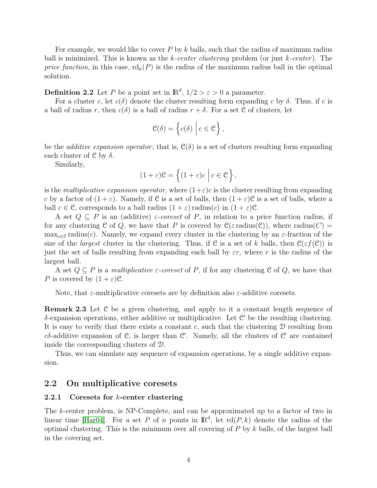For example, we would like to cover P by k balls, such that the radius of maximum radius ball is minimized. This is known as the k-center clustering problem (or just  $k$ -center). The price function, in this case,  $\text{rd}_k(P)$  is the radius of the maximum radius ball in the optimal solution.

**Definition 2.2** Let P be a point set in  $\mathbb{R}^d$ ,  $1/2 > \varepsilon > 0$  a parameter.

For a cluster c, let  $c(\delta)$  denote the cluster resulting form expanding c by  $\delta$ . Thus, if c is a ball of radius r, then  $c(\delta)$  is a ball of radius  $r + \delta$ . For a set C of clusters, let

$$
\mathcal{C}(\delta) = \left\{ c(\delta) \mid c \in \mathcal{C} \right\},\
$$

be the *additive expansion operator*; that is,  $\mathcal{C}(\delta)$  is a set of clusters resulting form expanding each cluster of  $\mathcal C$  by  $\delta$ .

Similarly,

$$
(1+\varepsilon)\mathcal{C} = \left\{ (1+\varepsilon)c \mid c \in \mathcal{C} \right\},\
$$

is the multiplicative expansion operator, where  $(1+\varepsilon)c$  is the cluster resulting from expanding c by a factor of  $(1+\varepsilon)$ . Namely, if C is a set of balls, then  $(1+\varepsilon)$ C is a set of balls, where a ball  $c \in \mathcal{C}$ , corresponds to a ball radius  $(1 + \varepsilon)$  radius $(c)$  in  $(1 + \varepsilon)\mathcal{C}$ .

A set  $Q \subseteq P$  is an (additive)  $\varepsilon$ -coreset of P, in relation to a price function radius, if for any clustering C of Q, we have that P is covered by  $\mathcal{C}(\varepsilon \text{ radius}(\mathcal{C}))$ , where radius(C) =  $\max_{c \in \mathcal{C}}$  radius(c). Namely, we expand every cluster in the clustering by an  $\varepsilon$ -fraction of the size of the *largest* cluster in the clustering. Thus, if C is a set of k balls, then  $C(\varepsilon f(\mathcal{C}))$  is just the set of balls resulting from expanding each ball by  $\varepsilon r$ , where r is the radius of the largest ball.

A set  $Q \subseteq P$  is a *multiplicative*  $\varepsilon$ *-coreset* of P, if for any clustering C of Q, we have that P is covered by  $(1+\varepsilon)\mathcal{C}$ .

Note, that  $\varepsilon$ -multiplicative coresets are by definition also  $\varepsilon$ -additive coresets.

Remark 2.3 Let C be a given clustering, and apply to it a constant length sequence of  $\delta$ -expansion operations, either additive or multiplicative. Let  $\mathcal{C}'$  be the resulting clustering. It is easy to verify that there exists a constant c, such that the clustering  $D$  resulting from c $\delta$ -additive expansion of C, is larger than C'. Namely, all the clusters of C' are contained inside the corresponding clusters of D.

Thus, we can simulate any sequence of expansion operations, by a single additive expansion.

### 2.2 On multiplicative coresets

### 2.2.1 Coresets for k-center clustering

<span id="page-3-0"></span>The k-center problem, is NP-Complete, and can be approximated up to a factor of two in linear time [\[Har04\]](#page-12-14). For a set P of n points in  $\mathbb{R}^d$ , let  $\text{rd}(P, k)$  denote the radius of the optimal clustering. This is the minimum over all covering of  $P$  by  $k$  balls, of the largest ball in the covering set.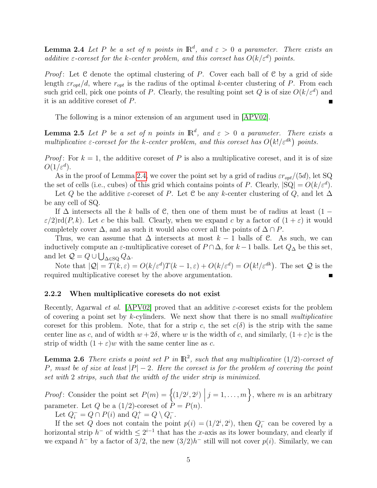**Lemma 2.4** Let P be a set of n points in  $\mathbb{R}^d$ , and  $\varepsilon > 0$  a parameter. There exists an additive  $\varepsilon$ -coreset for the k-center problem, and this coreset has  $O(k/\varepsilon^d)$  points.

*Proof*: Let C denote the optimal clustering of P. Cover each ball of C by a grid of side length  $\varepsilon r_{opt}/d$ , where  $r_{opt}$  is the radius of the optimal k-center clustering of P. From each such grid cell, pick one points of P. Clearly, the resulting point set Q is of size  $O(k/\varepsilon^d)$  and it is an additive coreset of P.

The following is a minor extension of an argument used in [\[APV02\]](#page-12-11).

**Lemma 2.5** Let P be a set of n points in  $\mathbb{R}^d$ , and  $\varepsilon > 0$  a parameter. There exists a multiplicative  $\varepsilon$ -coreset for the k-center problem, and this coreset has  $O(k!/ \varepsilon^{dk})$  points.

*Proof*: For  $k = 1$ , the additive coreset of P is also a multiplicative coreset, and it is of size  $O(1/\varepsilon^d)$ .

As in the proof of Lemma [2.4,](#page-3-0) we cover the point set by a grid of radius  $\epsilon r_{opt}/(5d)$ , let SQ the set of cells (i.e., cubes) of this grid which contains points of P. Clearly,  $|SQ| = O(k/\varepsilon^d)$ .

Let Q be the additive  $\varepsilon$ -coreset of P. Let C be any k-center clustering of Q, and let  $\Delta$ be any cell of SQ.

If  $\Delta$  intersects all the k balls of C, then one of them must be of radius at least (1 −  $\varepsilon/2$ rd $(P, k)$ . Let c be this ball. Clearly, when we expand c by a factor of  $(1 + \varepsilon)$  it would completely cover  $\Delta$ , and as such it would also cover all the points of  $\Delta \cap P$ .

Thus, we can assume that  $\Delta$  intersects at most  $k-1$  balls of C. As such, we can inductively compute an  $\varepsilon$ -multiplicative coreset of  $P \cap \Delta$ , for  $k-1$  balls. Let  $Q_{\Delta}$  be this set, and let  $Q = Q \cup \bigcup_{\Delta \in \text{SQ}} Q_{\Delta}$ .

Note that  $|Q| = T(k,\varepsilon) = O(k/\varepsilon^d)T(k-1,\varepsilon) + O(k/\varepsilon^d) = O(k/\varepsilon^{dk})$ . The set  $Q$  is the required multiplicative coreset by the above argumentation.

#### 2.2.2 When multiplicative coresets do not exist

Recently, Agarwal *et al.* [\[APV02\]](#page-12-11) proved that an additive  $\varepsilon$ -coreset exists for the problem of covering a point set by k-cylinders. We next show that there is no small *multiplicative* coreset for this problem. Note, that for a strip c, the set  $c(\delta)$  is the strip with the same center line as c, and of width  $w + 2\delta$ , where w is the width of c, and similarly,  $(1 + \varepsilon)c$  is the strip of width  $(1 + \varepsilon)w$  with the same center line as c.

<span id="page-4-0"></span>**Lemma 2.6** There exists a point set P in  $\mathbb{R}^2$ , such that any multiplicative (1/2)-coreset of P, must be of size at least  $|P|-2$ . Here the coreset is for the problem of covering the point set with 2 strips, such that the width of the wider strip is minimized.

*Proof*: Consider the point set  $P(m) = \{(1/2^j, 2^j) | j = 1, ..., m\}$ , where m is an arbitrary parameter. Let Q be a  $(1/2)$ -coreset of  $P = P(n)$ .

Let  $Q_i^- = Q \cap P(i)$  and  $Q_i^+ = Q \setminus Q_i^ \frac{-}{i}$ .

If the set Q does not contain the point  $p(i) = (1/2^i, 2^i)$ , then  $Q_i^ \overline{i}$  can be covered by a horizontal strip  $h^-$  of width  $\leq 2^{i-1}$  that has the x-axis as its lower boundary, and clearly if we expand  $h^-$  by a factor of  $3/2$ , the new  $(3/2)h^-$  still will not cover  $p(i)$ . Similarly, we can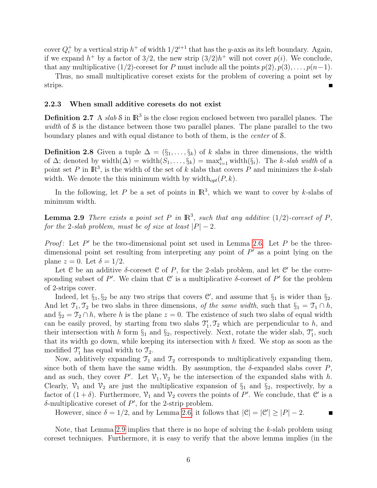cover  $Q_i^+$  by a vertical strip  $h^+$  of width  $1/2^{i+1}$  that has the y-axis as its left boundary. Again, if we expand  $h^+$  by a factor of 3/2, the new strip  $(3/2)h^+$  will not cover  $p(i)$ . We conclude, that any multiplicative (1/2)-coreset for P must include all the points  $p(2), p(3), \ldots, p(n-1)$ .

Thus, no small multiplicative coreset exists for the problem of covering a point set by strips.

#### 2.2.3 When small additive coresets do not exist

**Definition 2.7** A slab S in  $\mathbb{R}^3$  is the close region enclosed between two parallel planes. The width of S is the distance between those two parallel planes. The plane parallel to the two boundary planes and with equal distance to both of them, is the center of S.

**Definition 2.8** Given a tuple  $\Delta = (\S_1, \ldots, \S_k)$  of k slabs in three dimensions, the width of  $\Delta$ ; denoted by width $(\Delta) = \text{width}(S_1, \ldots, S_k) = \max_{i=1}^k \text{width}(S_i)$ . The k-slab width of a point set P in  $\mathbb{R}^3$ , is the width of the set of k slabs that covers P and minimizes the k-slab width. We denote the this minimum width by width $_{opt}(P, k)$ .

In the following, let P be a set of points in  $\mathbb{R}^3$ , which we want to cover by k-slabs of minimum width.

<span id="page-5-0"></span>**Lemma 2.9** There exists a point set P in  $\mathbb{R}^3$ , such that any additive (1/2)-coreset of P, for the 2-slab problem, must be of size at least  $|P|-2$ .

*Proof*: Let  $P'$  be the two-dimensional point set used in Lemma [2.6.](#page-4-0) Let  $P$  be the threedimensional point set resulting from interpreting any point of  $P'$  as a point lying on the plane  $z = 0$ . Let  $\delta = 1/2$ .

Let C be an additive  $\delta$ -coreset C of P, for the 2-slab problem, and let C' be the corresponding subset of P'. We claim that  $\mathcal{C}'$  is a multiplicative  $\delta$ -coreset of P' for the problem of 2-strips cover.

Indeed, let  $\S_1$ ,  $\S_2$  be any two strips that covers C', and assume that  $\S_1$  is wider than  $\S_2$ . And let  $\mathfrak{T}_1, \mathfrak{T}_2$  be two slabs in three dimensions, of the same width, such that  $\S_1 = \mathfrak{T}_1 \cap h$ , and  $\S_2 = \mathcal{T}_2 \cap h$ , where h is the plane  $z = 0$ . The existence of such two slabs of equal width can be easily proved, by starting from two slabs  $\mathcal{T}'_1, \mathcal{T}_2$  which are perpendicular to h, and their intersection with h form  $\S_1$  and  $\S_2$ , respectively. Next, rotate the wider slab,  $\mathcal{T}'_1$ , such that its width go down, while keeping its intersection with  $h$  fixed. We stop as soon as the modified  $\mathcal{T}'_1$  has equal width to  $\mathcal{T}_2$ .

Now, additively expanding  $\mathcal{T}_1$  and  $\mathcal{T}_2$  corresponds to multiplicatively expanding them, since both of them have the same width. By assumption, the  $\delta$ -expanded slabs cover P, and as such, they cover P'. Let  $\mathcal{V}_1, \mathcal{V}_2$  be the intersection of the expanded slabs with h. Clearly,  $\mathcal{V}_1$  and  $\mathcal{V}_2$  are just the multiplicative expansion of  $\S_1$  and  $\S_2$ , respectively, by a factor of  $(1 + \delta)$ . Furthermore,  $\mathcal{V}_1$  and  $\mathcal{V}_2$  covers the points of P'. We conclude, that C' is a  $\delta$ -multiplicative coreset of  $P'$ , for the 2-strip problem.

However, since  $\delta = 1/2$ , and by Lemma [2.6,](#page-4-0) it follows that  $|\mathcal{C}| = |\mathcal{C}'| \geq |P| - 2$ .

Note, that Lemma [2.9](#page-5-0) implies that there is no hope of solving the k-slab problem using coreset techniques. Furthermore, it is easy to verify that the above lemma implies (in the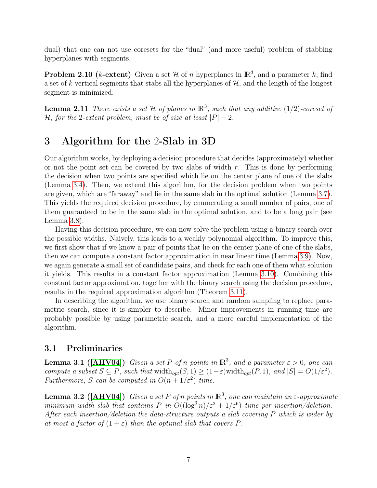dual) that one can not use coresets for the "dual" (and more useful) problem of stabbing hyperplanes with segments.

**Problem 2.10 (k-extent)** Given a set H of n hyperplanes in  $\mathbb{R}^d$ , and a parameter k, find a set of k vertical segments that stabs all the hyperplanes of  $H$ , and the length of the longest segment is minimized.

**Lemma 2.11** There exists a set H of planes in  $\mathbb{R}^3$ , such that any additive  $(1/2)$ -coreset of H, for the 2-extent problem, must be of size at least  $|P| - 2$ .

## <span id="page-6-0"></span>3 Algorithm for the 2-Slab in 3D

Our algorithm works, by deploying a decision procedure that decides (approximately) whether or not the point set can be covered by two slabs of width  $r$ . This is done by performing the decision when two points are specified which lie on the center plane of one of the slabs (Lemma [3.4\)](#page-7-0). Then, we extend this algorithm, for the decision problem when two points are given, which are "faraway" and lie in the same slab in the optimal solution (Lemma [3.7\)](#page-7-1). This yields the required decision procedure, by enumerating a small number of pairs, one of them guaranteed to be in the same slab in the optimal solution, and to be a long pair (see Lemma [3.8\)](#page-8-0).

Having this decision procedure, we can now solve the problem using a binary search over the possible widths. Naively, this leads to a weakly polynomial algorithm. To improve this, we first show that if we know a pair of points that lie on the center plane of one of the slabs, then we can compute a constant factor approximation in near linear time (Lemma [3.9\)](#page-9-0). Now, we again generate a small set of candidate pairs, and check for each one of them what solution it yields. This results in a constant factor approximation (Lemma [3.10\)](#page-10-0). Combining this constant factor approximation, together with the binary search using the decision procedure, results in the required approximation algorithm (Theorem [3.11\)](#page-11-3).

In describing the algorithm, we use binary search and random sampling to replace parametric search, since it is simpler to describe. Minor improvements in running time are probably possible by using parametric search, and a more careful implementation of the algorithm.

### 3.1 Preliminaries

<span id="page-6-2"></span>**Lemma 3.1 ([\[AHV04\]](#page-12-8))** Given a set P of n points in  $\mathbb{R}^3$ , and a parameter  $\varepsilon > 0$ , one can compute a subset  $S \subseteq P$ , such that width<sub>opt</sub> $(S, 1) \ge (1 - \varepsilon)$ width<sub>opt</sub> $(P, 1)$ , and  $|S| = O(1/\varepsilon^2)$ . Furthermore, S can be computed in  $O(n+1/\varepsilon^2)$  time.

<span id="page-6-1"></span>**Lemma 3.2 ([\[AHV04\]](#page-12-8))** Given a set P of n points in  $\mathbb{R}^3$ , one can maintain an  $\varepsilon$ -approximate minimum width slab that contains P in  $O((\log^3 n)/\varepsilon^2 + 1/\varepsilon^6)$  time per insertion/deletion. After each insertion/deletion the data-structure outputs a slab covering P which is wider by at most a factor of  $(1+\varepsilon)$  than the optimal slab that covers P.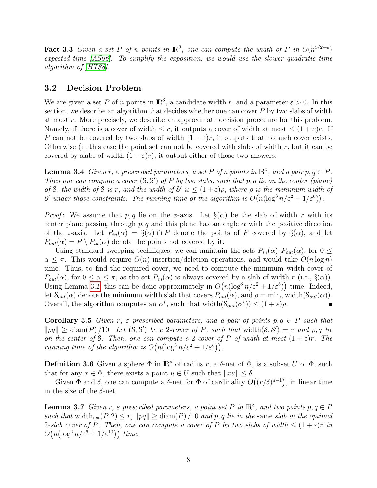Fact 3.3 Given a set P of n points in  $\mathbb{R}^3$ , one can compute the width of P in  $O(n^{3/2+\epsilon})$ expected time [\[AS96\]](#page-12-2). To simplify the exposition, we would use the slower quadratic time algorithm of [\[HT88\]](#page-12-15).

### 3.2 Decision Problem

We are given a set P of n points in  $\mathbb{R}^3$ , a candidate width r, and a parameter  $\varepsilon > 0$ . In this section, we describe an algorithm that decides whether one can cover  $P$  by two slabs of width at most r. More precisely, we describe an approximate decision procedure for this problem. Namely, if there is a cover of width  $\leq r$ , it outputs a cover of width at most  $\leq (1+\varepsilon)r$ . If P can not be covered by two slabs of width  $(1 + \varepsilon)r$ , it outputs that no such cover exists. Otherwise (in this case the point set can not be covered with slabs of width  $r$ , but it can be covered by slabs of width  $(1 + \varepsilon)r$ , it output either of those two answers.

<span id="page-7-0"></span>**Lemma 3.4** Given r,  $\varepsilon$  prescribed parameters, a set P of n points in  $\mathbb{R}^3$ , and a pair  $p, q \in P$ . Then one can compute a cover  $(S, S')$  of P by two slabs, such that p, q lie on the center (plane) of S, the width of S is r, and the width of S' is  $\leq (1+\varepsilon)\rho$ , where  $\rho$  is the minimum width of S' under those constraints. The running time of the algorithm is  $O(n(\log^3 n/\varepsilon^2 + 1/\varepsilon^6))$ .

*Proof*: We assume that p, q lie on the x-axis. Let  $\S(\alpha)$  be the slab of width r with its center plane passing through p, q and this plane has an angle  $\alpha$  with the positive direction of the z-axis. Let  $P_{in}(\alpha) = \S(\alpha) \cap P$  denote the points of P covered by  $\S(\alpha)$ , and let  $P_{out}(\alpha) = P \setminus P_{in}(\alpha)$  denote the points not covered by it.

Using standard sweeping techniques, we can maintain the sets  $P_{in}(\alpha)$ ,  $P_{out}(\alpha)$ , for  $0 \leq$  $\alpha \leq \pi$ . This would require  $O(n)$  insertion/deletion operations, and would take  $O(n \log n)$ time. Thus, to find the required cover, we need to compute the minimum width cover of  $P_{out}(\alpha)$ , for  $0 \leq \alpha \leq \pi$ , as the set  $P_{in}(\alpha)$  is always covered by a slab of width r (i.e.,  $\S(\alpha)$ ). Using Lemma [3.2,](#page-6-1) this can be done approximately in  $O(n(\log^3 n/\varepsilon^2 + 1/\varepsilon^6))$  time. Indeed, let  $\mathcal{S}_{out}(\alpha)$  denote the minimum width slab that covers  $P_{out}(\alpha)$ , and  $\rho = \min_{\alpha} \text{width}(\mathcal{S}_{out}(\alpha))$ . Overall, the algorithm computes an  $\alpha^*$ , such that width $(\mathcal{S}_{out}(\alpha^*)) \leq (1+\varepsilon)\rho$ .

<span id="page-7-2"></span>**Corollary 3.5** Given r,  $\varepsilon$  prescribed parameters, and a pair of points  $p, q \in P$  such that  $\|pq\| \geq \text{diam}(P)/10$ . Let  $(S, S')$  be a 2-cover of P, such that width $(S, S') = r$  and p, q lie on the center of S. Then, one can compute a 2-cover of P of width at most  $(1+\varepsilon)r$ . The running time of the algorithm is  $O(n(\log^3 n/\varepsilon^2 + 1/\varepsilon^6)).$ 

**Definition 3.6** Given a sphere  $\Phi$  in  $\mathbb{R}^d$  of radius r, a  $\delta$ -net of  $\Phi$ , is a subset U of  $\Phi$ , such that for any  $x \in \Phi$ , there exists a point  $u \in U$  such that  $||xu|| < \delta$ .

Given  $\Phi$  and  $\delta$ , one can compute a  $\delta$ -net for  $\Phi$  of cardinality  $O((r/\delta)^{d-1})$ , in linear time in the size of the  $\delta$ -net.

<span id="page-7-1"></span>**Lemma 3.7** Given r,  $\varepsilon$  prescribed parameters, a point set P in  $\mathbb{R}^3$ , and two points  $p, q \in P$ such that width<sub>opt</sub> $(P, 2) \le r$ ,  $\|pq\| \ge \text{diam}(P) /10$  and p, q lie in the same slab in the optimal 2-slab cover of P. Then, one can compute a cover of P by two slabs of width  $\leq (1+\varepsilon)r$  in  $O(n(\log^3 n/\varepsilon^6 + 1/\varepsilon^{10}))$  time.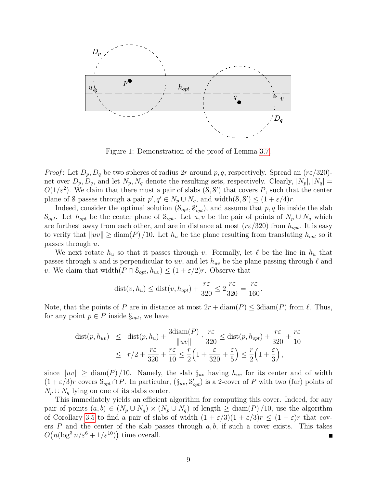

Figure 1: Demonstration of the proof of Lemma [3.7.](#page-7-1)

*Proof*: Let  $D_p$ ,  $D_q$  be two spheres of radius 2r around p, q, respectively. Spread an  $(r \epsilon/320)$ net over  $D_p, D_q$ , and let  $N_p, N_q$  denote the resulting sets, respectively. Clearly,  $|N_p|, |N_q|$  =  $O(1/\varepsilon^2)$ . We claim that there must a pair of slabs  $(8, 8')$  that covers P, such that the center plane of S passes through a pair  $p', q' \in N_p \cup N_q$ , and width $(8, 8') \leq (1 + \varepsilon/4)r$ .

Indeed, consider the optimal solution  $(\mathcal{S}_{opt}, \mathcal{S}_{opt}')$ , and assume that p, q lie inside the slab  $S_{opt}$ . Let  $h_{opt}$  be the center plane of  $S_{opt}$ . Let  $u, v$  be the pair of points of  $N_p \cup N_q$  which are furthest away from each other, and are in distance at most  $(r \epsilon/320)$  from  $h_{opt}$ . It is easy to verify that  $\|uv\| \geq \text{diam}(P) / 10$ . Let  $h_u$  be the plane resulting from translating  $h_{opt}$  so it passes through  $u$ .

We next rotate  $h_u$  so that it passes through v. Formally, let  $\ell$  be the line in  $h_u$  that passes through u and is perpendicular to uv, and let  $h_{uv}$  be the plane passing through  $\ell$  and v. We claim that width $(P \cap \mathcal{S}_{opt}, h_{uv}) \leq (1 + \varepsilon/2)r$ . Observe that

$$
dist(v, h_u) \leq dist(v, h_{opt}) + \frac{r\varepsilon}{320} \leq 2\frac{r\varepsilon}{320} = \frac{r\varepsilon}{160}.
$$

Note, that the points of P are in distance at most  $2r + \text{diam}(P) \leq 3\text{diam}(P)$  from  $\ell$ . Thus, for any point  $p \in P$  inside  $\S_{opt}$ , we have

$$
\text{dist}(p, h_{uv}) \leq \text{dist}(p, h_u) + \frac{3\text{diam}(P)}{\|uv\|} \cdot \frac{r\varepsilon}{320} \leq \text{dist}(p, h_{opt}) + \frac{r\varepsilon}{320} + \frac{r\varepsilon}{10}
$$
\n
$$
\leq r/2 + \frac{r\varepsilon}{320} + \frac{r\varepsilon}{10} \leq \frac{r}{2} \Big( 1 + \frac{\varepsilon}{320} + \frac{\varepsilon}{5} \Big) \leq \frac{r}{2} \Big( 1 + \frac{\varepsilon}{3} \Big),
$$

since  $\|uv\| \geq \text{diam}(P) / 10$ . Namely, the slab  $\S_{uv}$  having  $h_{uv}$  for its center and of width  $(1+\varepsilon/3)r$  covers  $S_{opt} \cap P$ . In particular,  $(\S_{uv}, \S'_{opt})$  is a 2-cover of P with two (far) points of  $N_p \cup N_q$  lying on one of its slabs center.

<span id="page-8-0"></span>This immediately yields an efficient algorithm for computing this cover. Indeed, for any pair of points  $(a, b) \in (N_p \cup N_q) \times (N_p \cup N_q)$  of length  $\geq$  diam(P)/10, use the algorithm of Corollary [3.5](#page-7-2) to find a pair of slabs of width  $(1 + \varepsilon/3)(1 + \varepsilon/3)r \leq (1 + \varepsilon)r$  that covers  $P$  and the center of the slab passes through  $a, b$ , if such a cover exists. This takes  $O(n(\log^3 n/\varepsilon^6 + 1/\varepsilon^{10}))$  time overall.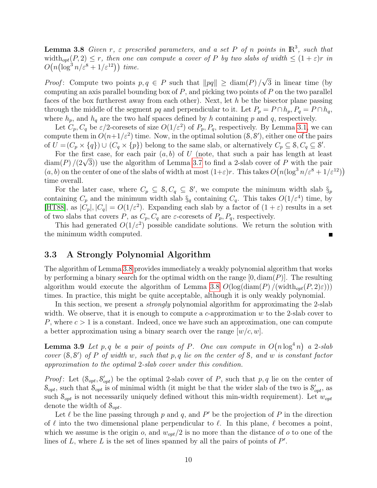**Lemma 3.8** Given r,  $\varepsilon$  prescribed parameters, and a set P of n points in  $\mathbb{R}^3$ , such that width<sub>opt</sub> $(P, 2) \le r$ , then one can compute a cover of P by two slabs of width  $\le (1 + \varepsilon)r$  in  $O(n(\log^3 n/\varepsilon^8 + 1/\varepsilon^{12}))$  time.

*Proof*: Compute two points  $p, q \in P$  such that  $||pq|| \geq \text{diam}(P) /$ √ 3 in linear time (by computing an axis parallel bounding box of  $P$ , and picking two points of  $P$  on the two parallel faces of the box furtherest away from each other). Next, let h be the bisector plane passing through the middle of the segment pq and perpendicular to it. Let  $P_p = P \cap h_p$ ,  $P_q = P \cap h_q$ , where  $h_p$ , and  $h_q$  are the two half spaces defined by h containing p and q, respectively.

Let  $C_p, C_q$  be  $\varepsilon/2$ -coresets of size  $O(1/\varepsilon^2)$  of  $P_p, P_q$ , respectively. By Lemma [3.1,](#page-6-2) we can compute them in  $O(n+1/\varepsilon^2)$  time. Now, in the optimal solution  $(8, 8')$ , either one of the pairs of  $U = (C_p \times \{q\}) \cup (C_q \times \{p\})$  belong to the same slab, or alternatively  $C_p \subseteq \mathcal{S}, C_q \subseteq \mathcal{S}'$ .

For the first case, for each pair  $(a, b)$  of U (note, that such a pair has length at least For the first case, for each pair  $(a, b)$  of  $U$  (note, that such a pair has length at least diam(P)  $/(2\sqrt{3})$ ) use the algorithm of Lemma [3.7](#page-7-1) to find a 2-slab cover of P with the pair  $(a, b)$  on the center of one of the slabs of width at most  $(1+\varepsilon)r$ . This takes  $O(n(\log^3 n/\varepsilon^8 + 1/\varepsilon^{12}))$ time overall.

For the later case, where  $C_p \subseteq S, C_q \subseteq S'$ , we compute the minimum width slab  $\S_p$ containing  $C_p$  and the minimum width slab  $\S_q$  containing  $C_q$ . This takes  $O(1/\varepsilon^4)$  time, by [\[HT88\]](#page-12-15), as  $|C_p|, |C_q| = O(1/\varepsilon^2)$ . Expanding each slab by a factor of  $(1 + \varepsilon)$  results in a set of two slabs that covers P, as  $C_p, C_q$  are  $\varepsilon$ -coresets of  $P_p, P_q$ , respectively.

This had generated  $O(1/\varepsilon^2)$  possible candidate solutions. We return the solution with the minimum width computed.

### 3.3 A Strongly Polynomial Algorithm

The algorithm of Lemma [3.8](#page-8-0) provides immediately a weakly polynomial algorithm that works by performing a binary search for the optimal width on the range  $[0, \text{diam}(P)]$ . The resulting algorithm would execute the algorithm of Lemma [3.8](#page-8-0)  $O(\log(\text{diam}(P)/(\text{width}_{opt}(P, 2)\epsilon)))$ times. In practice, this might be quite acceptable, although it is only weakly polynomial.

In this section, we present a *strongly* polynomial algorithm for approximating the 2-slab width. We observe, that it is enough to compute a c-approximation  $w$  to the 2-slab cover to P, where  $c > 1$  is a constant. Indeed, once we have such an approximation, one can compute a better approximation using a binary search over the range  $[w/c, w]$ .

<span id="page-9-0"></span>**Lemma 3.9** Let p, q be a pair of points of P. One can compute in  $O(n \log^4 n)$  a 2-slab cover  $(S, S')$  of P of width w, such that p, q lie on the center of S, and w is constant factor approximation to the optimal 2-slab cover under this condition.

*Proof*: Let  $(\mathcal{S}_{opt}, \mathcal{S}_{opt}')$  be the optimal 2-slab cover of P, such that p, q lie on the center of  $S_{opt}$ , such that  $S_{opt}$  is of minimal width (it might be that the wider slab of the two is  $S'_{opt}$ , as such  $S_{opt}$  is not necessarily uniquely defined without this min-width requirement). Let  $w_{opt}$ denote the width of  $S_{\text{out}}$ .

Let  $\ell$  be the line passing through p and q, and P' be the projection of P in the direction of  $\ell$  into the two dimensional plane perpendicular to  $\ell$ . In this plane,  $\ell$  becomes a point, which we assume is the origin o, and  $w_{opt}/2$  is no more than the distance of o to one of the lines of  $L$ , where  $L$  is the set of lines spanned by all the pairs of points of  $P'$ .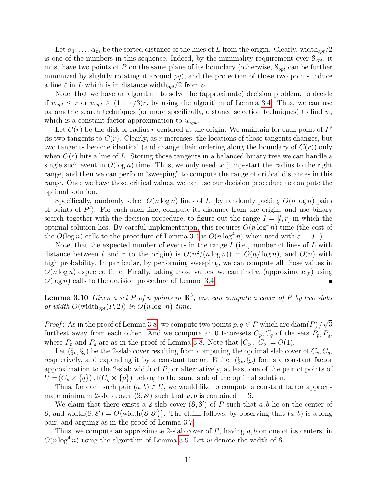Let  $\alpha_1, \ldots, \alpha_m$  be the sorted distance of the lines of L from the origin. Clearly, width $_{opt}/2$ is one of the numbers in this sequence, Indeed, by the minimality requirement over  $S_{opt}$ , it must have two points of P on the same plane of its boundary (otherwise,  $S_{opt}$  can be further minimized by slightly rotating it around  $pq$ , and the projection of those two points induce a line  $\ell$  in L which is in distance width<sub>opt</sub>/2 from o.

Note, that we have an algorithm to solve the (approximate) decision problem, to decide if  $w_{opt} \leq r$  or  $w_{opt} \geq (1 + \varepsilon/3)r$ , by using the algorithm of Lemma [3.4.](#page-7-0) Thus, we can use parametric search techniques (or more specifically, distance selection techniques) to find  $w$ , which is a constant factor approximation to  $w_{opt}$ .

Let  $C(r)$  be the disk or radius r centered at the origin. We maintain for each point of  $P'$ its two tangents to  $C(r)$ . Clearly, as r increases, the locations of those tangents changes, but two tangents become identical (and change their ordering along the boundary of  $C(r)$ ) only when  $C(r)$  hits a line of L. Storing those tangents in a balanced binary tree we can handle a single such event in  $O(\log n)$  time. Thus, we only need to jump-start the radius to the right range, and then we can perform "sweeping" to compute the range of critical distances in this range. Once we have those critical values, we can use our decision procedure to compute the optimal solution.

Specifically, randomly select  $O(n \log n)$  lines of L (by randomly picking  $O(n \log n)$  pairs of points of  $P'$ ). For each such line, compute its distance from the origin, and use binary search together with the decision procedure, to figure out the range  $I = [l, r]$  in which the optimal solution lies. By careful implementation, this requires  $O(n \log^4 n)$  time (the cost of the  $O(\log n)$  calls to the procedure of Lemma [3.4](#page-7-0) is  $O(n \log^4 n)$  when used with  $\varepsilon = 0.1$ ).

Note, that the expected number of events in the range  $I$  (i.e., number of lines of  $L$  with distance between l and r to the origin) is  $O(n^2/(n \log n)) = O(n/\log n)$ , and  $O(n)$  with high probability. In particular, by performing sweeping, we can compute all those values in  $O(n \log n)$  expected time. Finally, taking those values, we can find w (approximately) using  $O(\log n)$  calls to the decision procedure of Lemma [3.4.](#page-7-0)

<span id="page-10-0"></span>**Lemma 3.10** Given a set P of n points in  $\mathbb{R}^3$ , one can compute a cover of P by two slabs of width  $O(\text{width}_{opt}(P, 2))$  in  $O(n \log^4 n)$  time.

*Proof*: As in the proof of Lemma [3.8,](#page-8-0) we compute two points  $p, q \in P$  which are diam(P) / √ 3 furthest away from each other. And we compute an 0.1-coresets  $C_p, C_q$  of the sets  $P_p, P_q$ , where  $P_p$  and  $P_q$  are as in the proof of Lemma [3.8.](#page-8-0) Note that  $|C_p|, |C_q| = O(1)$ .

Let  $(\S_p, \S_q)$  be the 2-slab cover resulting from computing the optimal slab cover of  $C_p, C_q$ , respectively, and expanding it by a constant factor. Either  $(\S_p, \S_q)$  forms a constant factor approximation to the 2-slab width of P, or alternatively, at least one of the pair of points of  $U = (C_p \times \{q\}) \cup (C_q \times \{p\})$  belong to the same slab of the optimal solution.

Thus, for each such pair  $(a, b) \in U$ , we would like to compute a constant factor approximate minimum 2-slab cover  $(\overline{\mathcal{S}}, \overline{\mathcal{S}}')$  such that  $a, b$  is contained in  $\overline{\mathcal{S}}$ .

We claim that there exists a 2-slab cover  $(8, 8')$  of P such that a, b lie on the center of S, and width $(\mathcal{S}, \mathcal{S}') = O(\text{width}(\overline{\mathcal{S}}, \overline{\mathcal{S}}'))$ . The claim follows, by observing that  $(a, b)$  is a long pair, and arguing as in the proof of Lemma [3.7.](#page-7-1)

Thus, we compute an approximate 2-slab cover of  $P$ , having  $a, b$  on one of its centers, in  $O(n \log^4 n)$  using the algorithm of Lemma [3.9.](#page-9-0) Let w denote the width of S.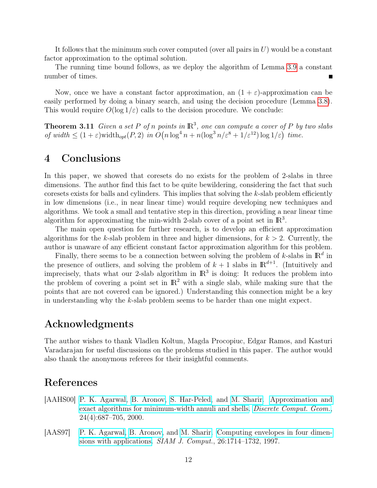It follows that the minimum such cover computed (over all pairs in  $U$ ) would be a constant factor approximation to the optimal solution.

The running time bound follows, as we deploy the algorithm of Lemma [3.9](#page-9-0) a constant number of times.

Now, once we have a constant factor approximation, an  $(1 + \varepsilon)$ -approximation can be easily performed by doing a binary search, and using the decision procedure (Lemma [3.8\)](#page-8-0). This would require  $O(\log 1/\varepsilon)$  calls to the decision procedure. We conclude:

<span id="page-11-3"></span>**Theorem 3.11** Given a set P of n points in  $\mathbb{R}^3$ , one can compute a cover of P by two slabs of width  $\leq (1+\varepsilon)$  width<sub>opt</sub> $(P, 2)$  in  $O(n \log^4 n + n(\log^3 n/\varepsilon^8 + 1/\varepsilon^{12}) \log 1/\varepsilon)$  time.

## <span id="page-11-2"></span>4 Conclusions

In this paper, we showed that coresets do no exists for the problem of 2-slabs in three dimensions. The author find this fact to be quite bewildering, considering the fact that such coresets exists for balls and cylinders. This implies that solving the k-slab problem efficiently in low dimensions (i.e., in near linear time) would require developing new techniques and algorithms. We took a small and tentative step in this direction, providing a near linear time algorithm for approximating the min-width 2-slab cover of a point set in  $\mathbb{R}^3$ .

The main open question for further research, is to develop an efficient approximation algorithms for the k-slab problem in three and higher dimensions, for  $k > 2$ . Currently, the author is unaware of any efficient constant factor approximation algorithm for this problem.

Finally, there seems to be a connection between solving the problem of k-slabs in  $\mathbb{R}^d$  in the presence of outliers, and solving the problem of  $k + 1$  slabs in  $\mathbb{R}^{d+1}$ . (Intuitively and imprecisely, thats what our 2-slab algorithm in  $\mathbb{R}^3$  is doing: It reduces the problem into the problem of covering a point set in  $\mathbb{R}^2$  with a single slab, while making sure that the points that are not covered can be ignored.) Understanding this connection might be a key in understanding why the k-slab problem seems to be harder than one might expect.

## Acknowledgments

The author wishes to thank Vladlen Koltun, Magda Procopiuc, Edgar Ramos, and Kasturi Varadarajan for useful discussions on the problems studied in this paper. The author would also thank the anonymous referees for their insightful comments.

## References

- <span id="page-11-1"></span>[AAHS00] [P. K. Agarwal,](http://www.cs.duke.edu/~pankaj) [B. Aronov,](http://cis.poly.edu/~aronov/) [S. Har-Peled,](http://www.uiuc.edu/~sariel) and [M. Sharir.](http://www.math.tau.ac.il/~michas) [Approximation and](http://cs.uiuc.edu/~sariel/research/papers/98/min_width_annulus.html) [exact algorithms for minimum-width annuli and shells.](http://cs.uiuc.edu/~sariel/research/papers/98/min_width_annulus.html) [Discrete Comput. Geom.](http://link.springer-ny.com/link/service/journals/00454/), 24(4):687–705, 2000.
- <span id="page-11-0"></span>[AAS97] [P. K. Agarwal,](http://www.cs.duke.edu/~pankaj) [B. Aronov,](http://cis.poly.edu/~aronov/) and [M. Sharir.](http://www.math.tau.ac.il/~michas) [Computing envelopes in four dimen](http://epubs.siam.org/sam-bin/dbq/article/26572)[sions with applications.](http://epubs.siam.org/sam-bin/dbq/article/26572) *SIAM J. Comput.*, 26:1714–1732, 1997.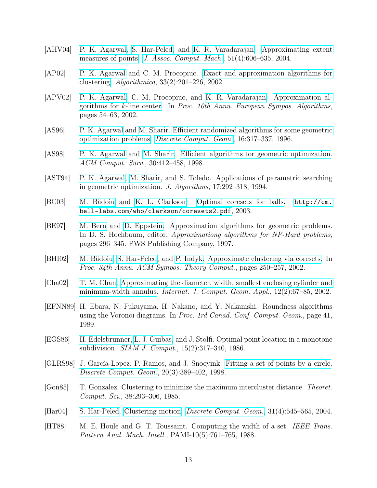- <span id="page-12-8"></span>[AHV04] [P. K. Agarwal,](http://www.cs.duke.edu/~pankaj) [S. Har-Peled,](http://www.uiuc.edu/~sariel) and [K. R. Varadarajan.](http://www.cs.uiowa.edu/~kvaradar/) [Approximating extent](http://cs.uiuc.edu/~sariel/papers/01/fitting/) [measures of points.](http://cs.uiuc.edu/~sariel/papers/01/fitting/) [J. Assoc. Comput. Mach.](http://www.acm.org/jacm/), 51(4):606–635, 2004.
- <span id="page-12-10"></span>[AP02] [P. K. Agarwal](http://www.cs.duke.edu/~pankaj) and C. M. Procopiuc. [Exact and approximation algorithms for](http://link.springer.de/link/service/journals/00453/bibs/2033002/20330201.html) [clustering.](http://link.springer.de/link/service/journals/00453/bibs/2033002/20330201.html) Algorithmica, 33(2):201–226, 2002.
- <span id="page-12-11"></span>[APV02] [P. K. Agarwal,](http://www.cs.duke.edu/~pankaj) C. M. Procopiuc, and [K. R. Varadarajan.](http://www.cs.uiowa.edu/~kvaradar/) [Approximation al](http://link.springer.de/link/service/series/0558/bibs/2461/24610054.htm)[gorithms for](http://link.springer.de/link/service/series/0558/bibs/2461/24610054.htm) k-line center. In Proc. 10th Annu. European Sympos. Algorithms, pages 54–63, 2002.
- <span id="page-12-2"></span>[AS96] [P. K. Agarwal](http://www.cs.duke.edu/~pankaj) and [M. Sharir.](http://www.math.tau.ac.il/~michas) [Efficient randomized algorithms for some geometric](http://link.springer.de/link/service/journals/00454/bibs/16n4p317.html) [optimization problems.](http://link.springer.de/link/service/journals/00454/bibs/16n4p317.html) [Discrete Comput. Geom.](http://link.springer-ny.com/link/service/journals/00454/), 16:317–337, 1996.
- <span id="page-12-0"></span>[AS98] [P. K. Agarwal](http://www.cs.duke.edu/~pankaj) and [M. Sharir.](http://www.math.tau.ac.il/~michas) [Efficient algorithms for geometric optimization.](http://www.cs.duke.edu/~pankaj/papers/geom-full.ps.gz) ACM Comput. Surv., 30:412–458, 1998.
- <span id="page-12-3"></span>[AST94] [P. K. Agarwal,](http://www.cs.duke.edu/~pankaj) [M. Sharir,](http://www.math.tau.ac.il/~michas) and S. Toledo. Applications of parametric searching in geometric optimization. J. Algorithms, 17:292–318, 1994.
- <span id="page-12-12"></span>[BC03] [M. Bădoiu](http://theory.lcs.mit.edu/~mihai/) and [K. L. Clarkson.](http://cm.bell-labs.com/who/clarkson/) [Optimal coresets for balls.](http://cm.bell-labs.com/who/clarkson/coresets2.pdf) [http://cm.](http://cm.bell-labs.com/who/clarkson/coresets2.pdf) [bell-labs.com/who/clarkson/coresets2.pdf](http://cm.bell-labs.com/who/clarkson/coresets2.pdf), 2003.
- <span id="page-12-1"></span>[BE97] [M. Bern](http://www2.parc.com/csl/members/bern/) and [D. Eppstein.](http://www.ics.uci.edu/~eppstein/) Approximation algorithms for geometric problems. In D. S. Hochbaum, editor, *Approximationg algorithms for NP-Hard problems*, pages 296–345. PWS Publishing Company, 1997.
- <span id="page-12-13"></span>[BHI02] [M. Bădoiu,](http://theory.lcs.mit.edu/~mihai/) [S. Har-Peled,](http://www.uiuc.edu/~sariel) and [P. Indyk.](http://theory.lcs.mit.edu/~indyk/) [Approximate clustering via coresets.](http://cs.uiuc.edu/~sariel/research/papers/02/coreset/) In Proc. 34th Annu. ACM Sympos. Theory Comput., pages 250–257, 2002.
- <span id="page-12-7"></span>[Cha02] [T. M. Chan.](http://www.math.uwaterloo.ca/~tmchan/) [Approximating the diameter, width, smallest enclosing cylinder and](http://www.worldscinet.com/ijcga/12/1201n02/S0218195902000748.html) [minimum-width annulus.](http://www.worldscinet.com/ijcga/12/1201n02/S0218195902000748.html) Internat. J. Comput. Geom. Appl., 12(2):67–85, 2002.
- <span id="page-12-4"></span>[EFNN89] H. Ebara, N. Fukuyama, H. Nakano, and Y. Nakanishi. Roundness algorithms using the Voronoi diagrams. In Proc. 1rd Canad. Conf. Comput. Geom., page 41, 1989.
- <span id="page-12-5"></span>[EGS86] [H. Edelsbrunner,](http://www.cs.duke.edu/~edels/) [L. J. Guibas,](http://geometry.stanford.edu/member/guibas/) and J. Stolfi. Optimal point location in a monotone subdivision. SIAM J. Comput., 15(2):317–340, 1986.
- <span id="page-12-6"></span>[GLRS98] J. García-Lopez, P. Ramos, and J. Snoeyink. [Fitting a set of points by a circle.](http://link.springer-ny.com/link/service/journals/00454/bibs/20n3p389.html) [Discrete Comput. Geom.](http://link.springer-ny.com/link/service/journals/00454/), 20(3):389–402, 1998.
- <span id="page-12-9"></span>[Gon85] T. Gonzalez. Clustering to minimize the maximum intercluster distance. Theoret. Comput. Sci., 38:293–306, 1985.
- <span id="page-12-14"></span>[Har04] [S. Har-Peled.](http://www.uiuc.edu/~sariel) [Clustering motion.](http://cs.uiuc.edu/~sariel/research/papers/01/cluster/) [Discrete Comput. Geom.](http://link.springer-ny.com/link/service/journals/00454/), 31(4):545–565, 2004.
- <span id="page-12-15"></span>[HT88] M. E. Houle and G. T. Toussaint. Computing the width of a set. IEEE Trans. Pattern Anal. Mach. Intell., PAMI-10(5):761–765, 1988.